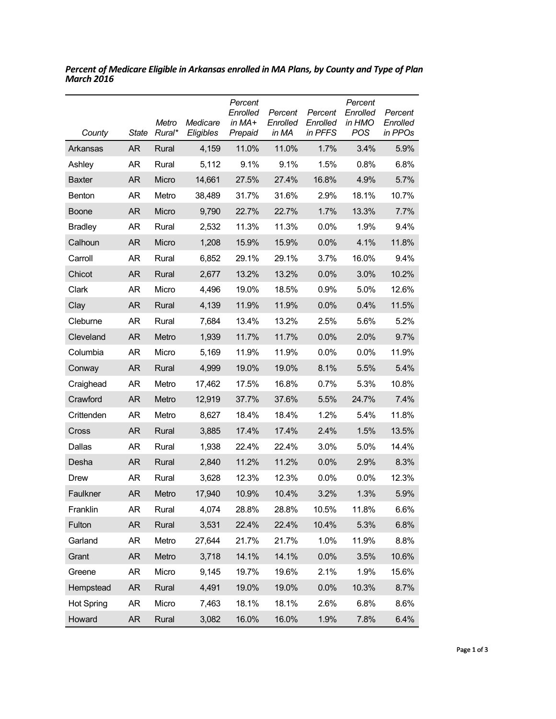| County            | State     | Metro<br>Rural* | Medicare<br>Eligibles | Percent<br>Enrolled<br>in $MA+$<br>Prepaid | Percent<br>Enrolled<br>in MA | Percent<br>Enrolled<br>in PFFS | Percent<br>Enrolled<br>in HMO<br>POS | Percent<br>Enrolled<br>in PPOs |
|-------------------|-----------|-----------------|-----------------------|--------------------------------------------|------------------------------|--------------------------------|--------------------------------------|--------------------------------|
| Arkansas          | AR        | Rural           | 4,159                 | 11.0%                                      | 11.0%                        | 1.7%                           | 3.4%                                 | 5.9%                           |
| Ashley            | AR        | Rural           | 5,112                 | 9.1%                                       | 9.1%                         | 1.5%                           | 0.8%                                 | 6.8%                           |
| <b>Baxter</b>     | <b>AR</b> | Micro           | 14,661                | 27.5%                                      | 27.4%                        | 16.8%                          | 4.9%                                 | 5.7%                           |
| <b>Benton</b>     | AR        | Metro           | 38,489                | 31.7%                                      | 31.6%                        | 2.9%                           | 18.1%                                | 10.7%                          |
| Boone             | <b>AR</b> | Micro           | 9,790                 | 22.7%                                      | 22.7%                        | 1.7%                           | 13.3%                                | 7.7%                           |
| <b>Bradley</b>    | AR        | Rural           | 2,532                 | 11.3%                                      | 11.3%                        | 0.0%                           | 1.9%                                 | 9.4%                           |
| Calhoun           | <b>AR</b> | Micro           | 1,208                 | 15.9%                                      | 15.9%                        | 0.0%                           | 4.1%                                 | 11.8%                          |
| Carroll           | AR        | Rural           | 6,852                 | 29.1%                                      | 29.1%                        | 3.7%                           | 16.0%                                | 9.4%                           |
| Chicot            | AR        | Rural           | 2,677                 | 13.2%                                      | 13.2%                        | 0.0%                           | 3.0%                                 | 10.2%                          |
| Clark             | AR        | Micro           | 4,496                 | 19.0%                                      | 18.5%                        | 0.9%                           | 5.0%                                 | 12.6%                          |
| Clay              | AR        | Rural           | 4,139                 | 11.9%                                      | 11.9%                        | 0.0%                           | 0.4%                                 | 11.5%                          |
| Cleburne          | AR        | Rural           | 7,684                 | 13.4%                                      | 13.2%                        | 2.5%                           | 5.6%                                 | 5.2%                           |
| Cleveland         | <b>AR</b> | Metro           | 1,939                 | 11.7%                                      | 11.7%                        | 0.0%                           | 2.0%                                 | 9.7%                           |
| Columbia          | AR        | Micro           | 5,169                 | 11.9%                                      | 11.9%                        | 0.0%                           | $0.0\%$                              | 11.9%                          |
| Conway            | AR        | Rural           | 4,999                 | 19.0%                                      | 19.0%                        | 8.1%                           | 5.5%                                 | 5.4%                           |
| Craighead         | AR        | Metro           | 17,462                | 17.5%                                      | 16.8%                        | 0.7%                           | 5.3%                                 | 10.8%                          |
| Crawford          | <b>AR</b> | Metro           | 12,919                | 37.7%                                      | 37.6%                        | 5.5%                           | 24.7%                                | 7.4%                           |
| Crittenden        | AR        | Metro           | 8,627                 | 18.4%                                      | 18.4%                        | 1.2%                           | 5.4%                                 | 11.8%                          |
| Cross             | AR        | Rural           | 3,885                 | 17.4%                                      | 17.4%                        | 2.4%                           | 1.5%                                 | 13.5%                          |
| Dallas            | AR        | Rural           | 1,938                 | 22.4%                                      | 22.4%                        | 3.0%                           | 5.0%                                 | 14.4%                          |
| Desha             | <b>AR</b> | Rural           | 2,840                 | 11.2%                                      | 11.2%                        | 0.0%                           | 2.9%                                 | 8.3%                           |
| Drew              | AR        | Rural           | 3,628                 | 12.3%                                      | 12.3%                        | 0.0%                           | $0.0\%$                              | 12.3%                          |
| Faulkner          | <b>AR</b> | Metro           | 17,940                | 10.9%                                      | 10.4%                        | 3.2%                           | 1.3%                                 | 5.9%                           |
| Franklin          | AR        | Rural           | 4,074                 | 28.8%                                      | 28.8%                        | 10.5%                          | 11.8%                                | 6.6%                           |
| Fulton            | <b>AR</b> | Rural           | 3,531                 | 22.4%                                      | 22.4%                        | 10.4%                          | 5.3%                                 | 6.8%                           |
| Garland           | <b>AR</b> | Metro           | 27,644                | 21.7%                                      | 21.7%                        | 1.0%                           | 11.9%                                | 8.8%                           |
| Grant             | <b>AR</b> | Metro           | 3,718                 | 14.1%                                      | 14.1%                        | 0.0%                           | 3.5%                                 | 10.6%                          |
| Greene            | <b>AR</b> | Micro           | 9,145                 | 19.7%                                      | 19.6%                        | 2.1%                           | 1.9%                                 | 15.6%                          |
| Hempstead         | <b>AR</b> | Rural           | 4,491                 | 19.0%                                      | 19.0%                        | 0.0%                           | 10.3%                                | 8.7%                           |
| <b>Hot Spring</b> | <b>AR</b> | Micro           | 7,463                 | 18.1%                                      | 18.1%                        | 2.6%                           | 6.8%                                 | 8.6%                           |
| Howard            | <b>AR</b> | Rural           | 3,082                 | 16.0%                                      | 16.0%                        | 1.9%                           | 7.8%                                 | 6.4%                           |

*Percent of Medicare Eligible in Arkansas enrolled in MA Plans, by County and Type of Plan March 2016*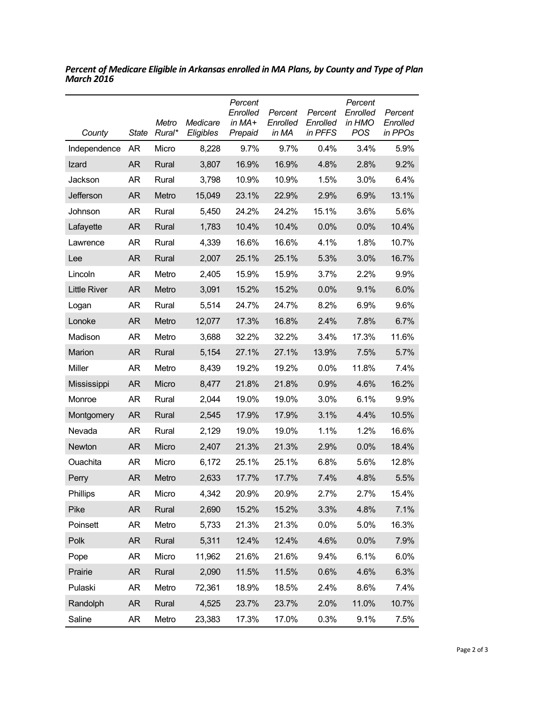| County              | <b>State</b> | Metro<br>Rural* | Medicare<br>Eligibles | Percent<br>Enrolled<br>in $MA+$<br>Prepaid | Percent<br>Enrolled<br>in MA | Percent<br>Enrolled<br>in PFFS | Percent<br>Enrolled<br>in HMO<br><b>POS</b> | Percent<br>Enrolled<br>in PPOs |
|---------------------|--------------|-----------------|-----------------------|--------------------------------------------|------------------------------|--------------------------------|---------------------------------------------|--------------------------------|
| Independence        | AR           | Micro           | 8,228                 | 9.7%                                       | 9.7%                         | 0.4%                           | 3.4%                                        | 5.9%                           |
| Izard               | AR           | Rural           | 3,807                 | 16.9%                                      | 16.9%                        | 4.8%                           | 2.8%                                        | 9.2%                           |
| Jackson             | <b>AR</b>    | Rural           | 3,798                 | 10.9%                                      | 10.9%                        | 1.5%                           | 3.0%                                        | 6.4%                           |
| Jefferson           | AR           | Metro           | 15,049                | 23.1%                                      | 22.9%                        | 2.9%                           | 6.9%                                        | 13.1%                          |
| Johnson             | AR           | Rural           | 5,450                 | 24.2%                                      | 24.2%                        | 15.1%                          | 3.6%                                        | 5.6%                           |
| Lafayette           | AR           | Rural           | 1,783                 | 10.4%                                      | 10.4%                        | 0.0%                           | 0.0%                                        | 10.4%                          |
| Lawrence            | AR           | Rural           | 4,339                 | 16.6%                                      | 16.6%                        | 4.1%                           | 1.8%                                        | 10.7%                          |
| Lee                 | <b>AR</b>    | Rural           | 2,007                 | 25.1%                                      | 25.1%                        | 5.3%                           | 3.0%                                        | 16.7%                          |
| Lincoln             | AR           | Metro           | 2,405                 | 15.9%                                      | 15.9%                        | 3.7%                           | 2.2%                                        | 9.9%                           |
| <b>Little River</b> | <b>AR</b>    | Metro           | 3,091                 | 15.2%                                      | 15.2%                        | 0.0%                           | 9.1%                                        | 6.0%                           |
| Logan               | AR           | Rural           | 5,514                 | 24.7%                                      | 24.7%                        | 8.2%                           | 6.9%                                        | 9.6%                           |
| Lonoke              | <b>AR</b>    | Metro           | 12,077                | 17.3%                                      | 16.8%                        | 2.4%                           | 7.8%                                        | 6.7%                           |
| Madison             | AR           | Metro           | 3,688                 | 32.2%                                      | 32.2%                        | 3.4%                           | 17.3%                                       | 11.6%                          |
| Marion              | <b>AR</b>    | Rural           | 5,154                 | 27.1%                                      | 27.1%                        | 13.9%                          | 7.5%                                        | 5.7%                           |
| Miller              | AR           | Metro           | 8,439                 | 19.2%                                      | 19.2%                        | 0.0%                           | 11.8%                                       | 7.4%                           |
| Mississippi         | AR           | Micro           | 8,477                 | 21.8%                                      | 21.8%                        | 0.9%                           | 4.6%                                        | 16.2%                          |
| Monroe              | <b>AR</b>    | Rural           | 2,044                 | 19.0%                                      | 19.0%                        | 3.0%                           | 6.1%                                        | 9.9%                           |
| Montgomery          | AR           | Rural           | 2,545                 | 17.9%                                      | 17.9%                        | 3.1%                           | 4.4%                                        | 10.5%                          |
| Nevada              | <b>AR</b>    | Rural           | 2,129                 | 19.0%                                      | 19.0%                        | 1.1%                           | 1.2%                                        | 16.6%                          |
| Newton              | AR           | Micro           | 2,407                 | 21.3%                                      | 21.3%                        | 2.9%                           | 0.0%                                        | 18.4%                          |
| Ouachita            | AR           | Micro           | 6,172                 | 25.1%                                      | 25.1%                        | 6.8%                           | 5.6%                                        | 12.8%                          |
| Perry               | AR           | Metro           | 2,633                 | 17.7%                                      | 17.7%                        | 7.4%                           | 4.8%                                        | 5.5%                           |
| Phillips            | AR           | Micro           | 4,342                 | 20.9%                                      | 20.9%                        | 2.7%                           | 2.7%                                        | 15.4%                          |
| Pike                | <b>AR</b>    | Rural           | 2,690                 | 15.2%                                      | 15.2%                        | 3.3%                           | 4.8%                                        | 7.1%                           |
| Poinsett            | <b>AR</b>    | Metro           | 5,733                 | 21.3%                                      | 21.3%                        | 0.0%                           | 5.0%                                        | 16.3%                          |
| Polk                | <b>AR</b>    | Rural           | 5,311                 | 12.4%                                      | 12.4%                        | 4.6%                           | 0.0%                                        | 7.9%                           |
| Pope                | <b>AR</b>    | Micro           | 11,962                | 21.6%                                      | 21.6%                        | 9.4%                           | 6.1%                                        | 6.0%                           |
| Prairie             | <b>AR</b>    | Rural           | 2,090                 | 11.5%                                      | 11.5%                        | 0.6%                           | 4.6%                                        | 6.3%                           |
| Pulaski             | AR           | Metro           | 72,361                | 18.9%                                      | 18.5%                        | 2.4%                           | 8.6%                                        | 7.4%                           |
| Randolph            | <b>AR</b>    | Rural           | 4,525                 | 23.7%                                      | 23.7%                        | 2.0%                           | 11.0%                                       | 10.7%                          |
| Saline              | <b>AR</b>    | Metro           | 23,383                | 17.3%                                      | 17.0%                        | 0.3%                           | 9.1%                                        | 7.5%                           |

*Percent of Medicare Eligible in Arkansas enrolled in MA Plans, by County and Type of Plan March 2016*